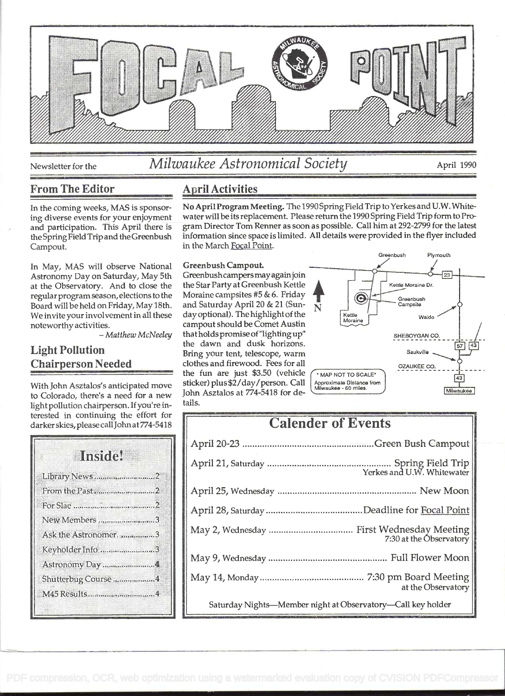

# Newsletter for the *Milwaukee Astronomical Society* April 1990

## From The Editor **April Activities**

In May, MAS will observe National Astronomy Day on Saturday, May 5th at the Observatory. And to close the regular program season, elections to the Board will be held on Friday, May 18th. We invite your involvement in all these<br>noteworthy activities.

- Matthew McNeeley

### Light Pollution Chairperson Needed

With John Asztalos's anticipated move to Colorado, there's a need for a new light pollution chairperson. If you're interested in continuing the effort for darker skies, please callJohn at 774-5418

# Inside! Library News ......................................... 2 FromthePast ....................................... <sup>2</sup> ForSiac ................................................... 2 New Members ...............................3 Ask the Astronomer. ..................3 Keyholder Info ...........................3 Astronomy Day ................................... 4 Shutterbug Course ......................4 M45Results ........................................ 4

In the coming weeks, MAS is sponsor- N**o April Program Meeting.** The 1990Spring Field Trip to Yerkes and U.W. White-<br>ing diverse events for your enjoyment water will be its replacement. Please return the 1990 Spring Field ing diverse events for your enjoyment water will be its replacement. Please return the 1990 Spring Field Trip form to Pro-<br>and participation. This April there is gram Director Tom Renner as soon as possible. Call him at 29 and participation. This April there is gram Director Tom Renner as soon as possible. Call him at 292-2799 for the latest<br>the Spring Field Trip and the Greenbush information since space is limited. All details were provided the Spring Field Trip and the Greenbush information since space is limited. All details were provided in the flyer included<br>Campout. in the March Focal Point. in the March Focal Point.

#### Greenbush Campout.

Greenbush campers may again join the Star Party at Greenbush Kettle Moraine campsites #5 & 6. Friday and Saturday April 20 & 21 (Sunand saturday April 20  $\alpha$  21 (sun-<br>day optional). The highlight of the campout should be Comet Austin that holds promise of "lighting up' the dawn and dusk horizons. Bring your tent, telescope, warm clothes and firewood. Fees for all the fun are just \$3.50 (vehicle sticker) plus \$2/day/person. Call John Asztalos at 774-5418 for details.



# **Calender of Events**

| 7:30 at the Observatory                                     |  |
|-------------------------------------------------------------|--|
|                                                             |  |
| at the Observatory                                          |  |
| Saturday Nights-Member night at Observatory-Call key holder |  |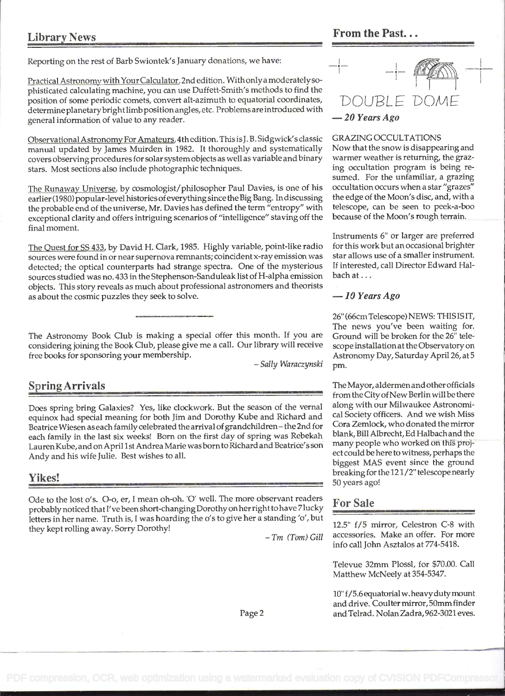Reporting on the rest of Barb Swiontek's January donations, we have:

Practical Astronomy with YourCalculator, 2nd edition. With onlya moderately sophisticated calculating machine, you can use Duffett-Smith's methods to find the position of some periodic comets, convert alt-azimuth to equatorial coordinates, determine planetarybright limb position angles, etc. Problems are introduced with general information of value to any reader.

Observational Astronomy For Amateurs, 4th edition. This isJ. B. Sidgwick's classic manual updated by James Muirden in 1982. It thoroughly and systematically covers observing procedures for solar system objects as well as variable and binary stars. Most sections also include photographic techniques.

The Runaway Universe. by cosmologist/philosopher Paul Davies, is one of his earlier (1980) popular-level histories ofeverything since the Big Bang. In discussing the probable end of the universe, Mr. Davies has defined the term "entropy" with exceptional clarity and offers intriguing scenarios of "intelligence" staving off the final moment.

The Ouest for SS 433, by David H. Clark, 1985. Highly variable, point-like radio sources were found in or near supernova remnants; coincident x-ray emission was detected; the optical counterparts had strange spectra. One of the mysterious sources studied was no. 433 in the Stephenson-Sanduleak list of H-alpha emission objects. This story reveals as much about professional astronomers and theorists as about the cosmic puzzles they seek to solve.

The Astronomy Book Club is making a special offer this month. If you are Ground will be broken for the 26" teleconsidering joining the Book Club, please give me a call. Our library will receive scope installation at the Observatory on

#### Spring Arrivals

Does spring bring Galaxies? Yes, like clockwork. But the season of the vernal equinox had special meaning for both Jim and Dorothy Kube and Richard and Beatrice Wiesen as each family celebrated the arrival of grandchildren - the 2nd for each family in the last six weeks! Born on the first day of spring was Rebekah Lauren Kube, and on April 1 st Andrea Marie was born to Richard and Beatrice's son Andy and his wife Julie. Best wishes to all.

#### Yikes!

Ode to the lost 0's. O-o, er, I mean oh-oh. 'O' well. The more observant readers probably noticed that I've been short-changing Dorothy on herright to have 7 lucky letters in her name. Truth is, I was hoarding the o's to give her a standing 'o', but they kept rolling away. Sorry Dorothy!<br>- Tm (Tom) Gill



#### GRAZING OCCULTATIONS

Now that the snow is disappearing and warmer weather is returning, the grazing occultation program is being resumed. For the unfamiliar, a grazing occultation occurs when a star "grazes" the edge of the Moon's disc, and, with a telescope, can be seen to peek-a-boo because of the Moon's rough terrain.

Instruments 6" or larger are preferred for this work but an occasional brighter star allows use of a smaller instrument. If interested, call Director Edward Halbach at ...

#### $-10$  Years Ago

26" (66cm Telescope) NEWS: THIS IS IT, The news you've been waiting for. free books for sponsoring your membership.<br>Astronomy Day, Saturday April 26, at 5 - Sally Waraczynski pm.

> The Mayor, aldermen and other officials from the City of New Berlin will be there along with our Milwaukee Astronomical Society officers. And we wish Miss Cora Zemlock, who donated the mirror blank, Bill Albrecht, Ed Halbach and the many people who worked on this project could be here to witness, perhaps the biggest MAS event since the ground breaking for the 12 1 /2" telescope nearly 50 years ago!

#### For Sale

12.5" f/5 mirror, Celestron C-8 with accessories. Make an offer. For more info call John Asztalos at 774-5418.

Televue 32mm Plossi, for \$70.00. Call Matthew McNeely at 354-5347.

10" f/5.6 equatorial w. heavyduty mount and drive. Coulter mirror, 50mm finder and Telrad. Nolan Zadra, 962-3021 eves.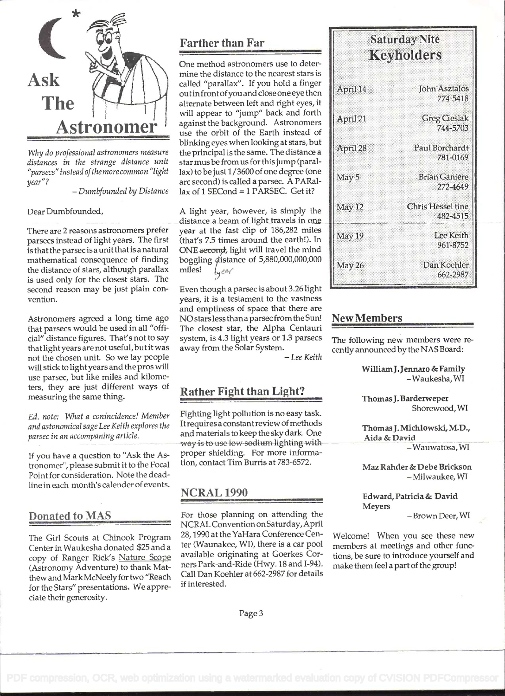

Why do professional astronomers measure distances in the strange distance unit "parsecs" instead ofthe more common "light year"? - Dumbfounded by Distance

Dear Dumbfounded,

There are 2 reasons astronomers prefer parsecs instead of light years. The first is that the parsec is a unit that is a natural mathematical consequence of finding the distance of stars, although parallax is used only for the closest stars. The second reason may be just plain convention.

Astronomers agreed a long time ago that parsecs would be used in all "official" distance figures. That's not to say that light years are not useful, but it was not the chosen unit. So we lay people will stick to light years and the pros will use parsec, but like miles and kilometers, they are just different ways of measuring the same thing.

Ed. note: What a conincidence! Member and astonomical sage Lee Keith explores the parsec in an accompaning article.

If you have a question to "Ask the Astronomer", please submit it to the Focal Point for consideration. Note the deadline in each month's calender of events.

#### Donated to MAS

The Girl Scouts at Chinook Program Center in Waukesha donated \$25 and a copy of Ranger Rick's Nature Scope (Astronomy Adventure) to thank Matthew and Mark McNeely for two "Reach for the Stars" presentations. We appreciate their generosity.

# Farther than Far

One method astronomers use to determine the distance to the nearest stars is called "parallax". If you hold a finger out in front ofyou and close one eye then alternate between left and right eyes, it will appear to "jump" back and forth against the background. Astronomers use the orbit of the Earth instead of blinking eyes when looking at stars, but the principal is the same. The distance a star mus be from us for this jump (paraIlax) to be just 1/3600 of one degree (one arc second) is called a parsec. A PARa1  $lax$  of 1 SECond = 1 PARSEC. Get it?

A light year, however, is simply the distance a beam of light travels in one year at the fast clip of 186,282 miles (that's 7.5 times around the earth!). In ONE second, light will travel the mind boggling distance of 5,880,000,000,000 miles!  $\left\lfloor \sqrt{\frac{2\pi}{\pi}} \right\rfloor$ 

Even though a parsec is about 3.26 light years, it is a testament to the vastness and emptiness of space that there are NO stars less than a parsec from the Sun! The closest star, the Alpha Centauri system, is 4.3 light years or 1.3 parsecs away from the Solar System.<br>- Lee Keith

# Rather Fight than Light?

Fighting light pollution is no easy task. It requires a constantreview of methods and materials to keep the sky dark. One way is to use low sodium lighting with proper shielding. For more information, contact Tim Burris at 783-6572.

#### NCRAL 1990

For those planning on attending the NCRAL Convention on Saturday, April 28, 1990 at the YaHara Conference Center (Waunakee, WI), there is a car pool available originating at Goerkes Corners Park-and-Ride (Hwy. 18 and I-94). Call Dan Koehler at 662-2987 for details if interested.

| <b>Saturday Nite</b><br>Keyholders |                                      |  |
|------------------------------------|--------------------------------------|--|
| April 14                           | <b>John Asztalos</b><br>774-5418     |  |
| April 21                           | <b>Greg Cieslak</b><br>744-5703      |  |
| April 28                           | Paul Borchardt<br>781-0169           |  |
| May 5                              | <b>Brian Ganiere</b><br>272-4649     |  |
| May 12                             | <b>Chris Hessel tine</b><br>482-4515 |  |
| May 19                             | Lee Keith<br>961-8752                |  |
| May 26                             | Dan Koehler<br>662-2987              |  |

#### New Members

The following new members were recently announced by the NAS Board:

WilliamJ.Jennaro & Family - Waukesha, WI

Thomas J. Barderweper<br>- Shorewood, WI

Thomas J. Michlowski, M.D.,

- Wauwatosa, WI

Maz Rahder&Debe Brickson - Milwaukee, WI

Edward, Patricia & David Meyers<br>- Brown Deer, WI

Welcome! When you see these new members at meetings and other funcfions, be sure to introduce yourself and make them feel a part of the group!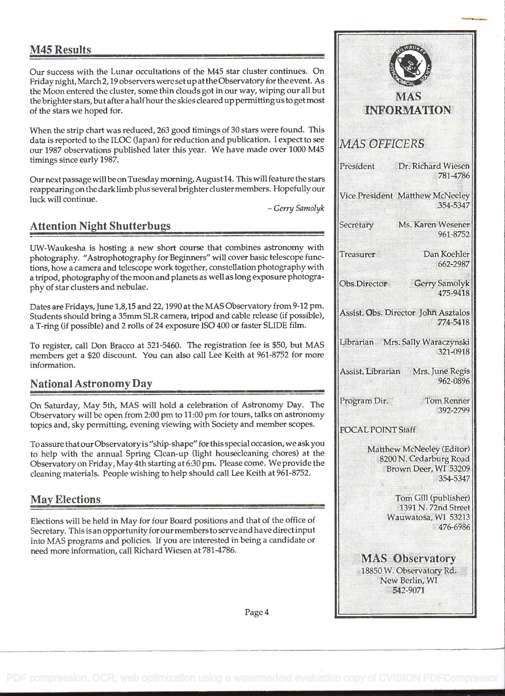## M45 Results

Our success with the Lunar occultations of the M45 star cluster continues. On Friday night, March 2, 19 observers were set up at the Observatory for the event. As the Moon entered the cluster, some thin clouds got in our way, wiping our all but the brighter stars, but after a half hour the skies cleared up permitting us to get most of the stars we hoped for.

When the strip chart was reduced, 263 good timings of 30 stars were found. This data is reported to the ILOC (Japan) for reduction and publication. I expect to see our 1987 observations published later this year. We have made over 1000 M45 timings since early 1987.

Our next passage will be on Tuesday morning, August 14. This will feature the stars reappearing on the dark limb plus several brighter clustermembers. Hopefully our luck will continue.<br>-- Gerry Samolyk

## Attention Night Shutterbugs

UW-Waukesha is hosting a new short course that combines astronomy with photography. "Astrophotography for Beginners" will cover basic telescope functions, how a camera and telescope work together, constellation photography with a tripod, photography of the moon and planets as well as long exposure photography of star clusters and nebulae.

Dates are Fridays, June 1,8,15 and 22, 1990 at the MAS Observatory from 9-12 pm. Students should bring a 35mm SLR camera, tripod and cable release (if possible), a T-ring (if possible) and 2 rolls of 24 exposure ISO 400 or faster SLIDE film.

To register, call Don Bracco at 521-5460. The registration fee is \$50, but MAS members get a \$20 discount. You can also call Lee Keith at 961-8752 for more information.

### National Astronomy Day

On Saturday, May 5th, MAS will hold a celebration of Astronomy Day. The Observatory will be open from 2:00 pm to I I :00 pm for tours, talks on astronomy topics and, sky permitting, evening viewing with Society and member scopes.

To assure thatour Observatory is "ship-shape" for this special occasion, we ask you to help with the annual Spring Clean-up (light housedeaning chores) at the Observatory on Friday, May 4th starting at 6:30 pm. Please come. We provide the cleaning materials. People wishing to help should call Lee Keith at 961-8752.

### May Elections

Elections will be held in May for four Board positions and that of the office of Secretary. This is an opportunity for our members to serve and have direct input into MAS programs and policies. If you are interested in being a candidate or need more information, call Richard Wiesen at 781-4786.

| <b>MAS</b>                                                                       |                                                         |
|----------------------------------------------------------------------------------|---------------------------------------------------------|
| <b>INFORMATION</b>                                                               |                                                         |
| <b>MAS OFFICERS</b>                                                              |                                                         |
| President                                                                        | Dr. Richard Wiesen<br>781-4786                          |
| Vice President Matthew McNeeley                                                  | 354-5347                                                |
| <b>Secretary</b>                                                                 | Ms. Karen Wesener<br>961-8752                           |
| <b>Treasurer</b>                                                                 | Dan Koehler<br>662-2987                                 |
| Obs.Director                                                                     | <b>Gerry Samolyk</b><br>475-9418                        |
| Assist. Obs. Director John Asztalos                                              | 774-5418                                                |
| Librarian Mrs. Sally Waraczynski                                                 | 321-0918                                                |
| Assist, Librarian Mrs. June Regis                                                | 962-0896                                                |
| Program Dir.                                                                     | <b>Tom Renner</b><br>392-2799                           |
| <b>OCAL POINT Staff</b>                                                          |                                                         |
| Matthew McNeeley (Editor)<br>8200 N. Cedarburg Road<br>Brown Deer, WI 53209      | 354-5347                                                |
| Wauwatosa, WI 53213                                                              | Tom Gill (publisher)<br>1391 N. 72nd Street<br>476-6986 |
| <b>MAS Observatory</b><br>18850 W. Observatory Rd.<br>New Berlin, WI<br>542-9071 |                                                         |
|                                                                                  |                                                         |